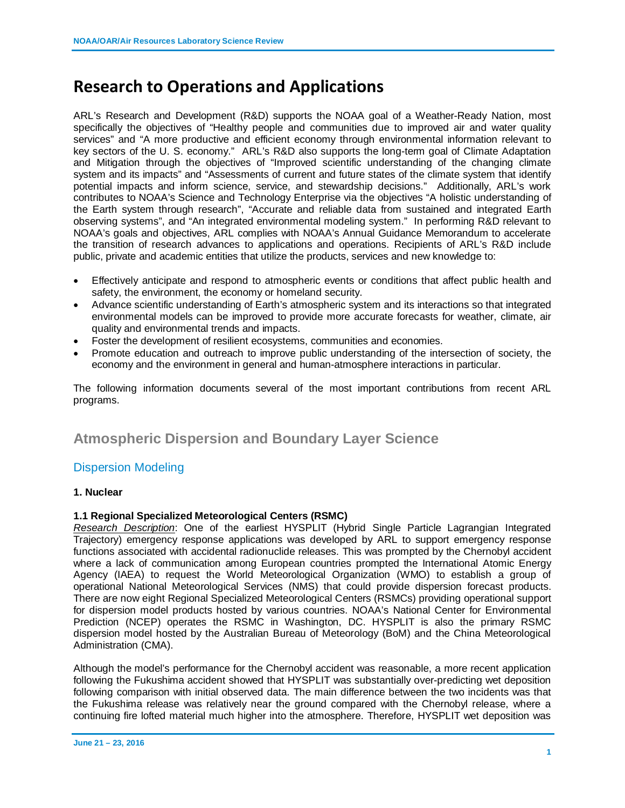# **Research to Operations and Applications**

ARL's Research and Development (R&D) supports the NOAA goal of a Weather-Ready Nation, most specifically the objectives of "Healthy people and communities due to improved air and water quality services" and "A more productive and efficient economy through environmental information relevant to key sectors of the U. S. economy." ARL's R&D also supports the long-term goal of Climate Adaptation and Mitigation through the objectives of "Improved scientific understanding of the changing climate system and its impacts" and "Assessments of current and future states of the climate system that identify potential impacts and inform science, service, and stewardship decisions." Additionally, ARL's work contributes to NOAA's Science and Technology Enterprise via the objectives "A holistic understanding of the Earth system through research", "Accurate and reliable data from sustained and integrated Earth observing systems", and "An integrated environmental modeling system." In performing R&D relevant to NOAA's goals and objectives, ARL complies with NOAA's Annual Guidance Memorandum to accelerate the transition of research advances to applications and operations. Recipients of ARL's R&D include public, private and academic entities that utilize the products, services and new knowledge to:

- Effectively anticipate and respond to atmospheric events or conditions that affect public health and safety, the environment, the economy or homeland security.
- Advance scientific understanding of Earth's atmospheric system and its interactions so that integrated environmental models can be improved to provide more accurate forecasts for weather, climate, air quality and environmental trends and impacts.
- Foster the development of resilient ecosystems, communities and economies.
- Promote education and outreach to improve public understanding of the intersection of society, the economy and the environment in general and human-atmosphere interactions in particular.

The following information documents several of the most important contributions from recent ARL programs.

# **Atmospheric Dispersion and Boundary Layer Science**

### Dispersion Modeling

### **1. Nuclear**

### **1.1 Regional Specialized Meteorological Centers (RSMC)**

*Research Description*: One of the earliest HYSPLIT (Hybrid Single Particle Lagrangian Integrated Trajectory) emergency response applications was developed by ARL to support emergency response functions associated with accidental radionuclide releases. This was prompted by the Chernobyl accident where a lack of communication among European countries prompted the International Atomic Energy Agency (IAEA) to request the World Meteorological Organization (WMO) to establish a group of operational National Meteorological Services (NMS) that could provide dispersion forecast products. There are now eight Regional Specialized Meteorological Centers (RSMCs) providing operational support for dispersion model products hosted by various countries. NOAA's National Center for Environmental Prediction (NCEP) operates the RSMC in Washington, DC. HYSPLIT is also the primary RSMC dispersion model hosted by the Australian Bureau of Meteorology (BoM) and the China Meteorological Administration (CMA).

Although the model's performance for the Chernobyl accident was reasonable, a more recent application following the Fukushima accident showed that HYSPLIT was substantially over-predicting wet deposition following comparison with initial observed data. The main difference between the two incidents was that the Fukushima release was relatively near the ground compared with the Chernobyl release, where a continuing fire lofted material much higher into the atmosphere. Therefore, HYSPLIT wet deposition was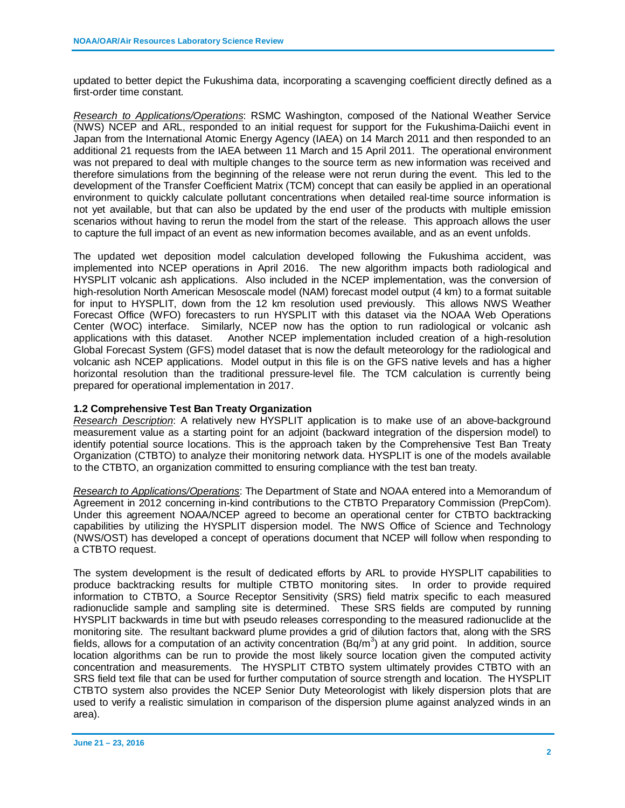updated to better depict the Fukushima data, incorporating a scavenging coefficient directly defined as a first-order time constant.

*Research to Applications/Operations*: RSMC Washington, composed of the National Weather Service (NWS) NCEP and ARL, responded to an initial request for support for the Fukushima-Daiichi event in Japan from the International Atomic Energy Agency (IAEA) on 14 March 2011 and then responded to an additional 21 requests from the IAEA between 11 March and 15 April 2011. The operational environment was not prepared to deal with multiple changes to the source term as new information was received and therefore simulations from the beginning of the release were not rerun during the event. This led to the development of the Transfer Coefficient Matrix (TCM) concept that can easily be applied in an operational environment to quickly calculate pollutant concentrations when detailed real-time source information is not yet available, but that can also be updated by the end user of the products with multiple emission scenarios without having to rerun the model from the start of the release. This approach allows the user to capture the full impact of an event as new information becomes available, and as an event unfolds.

The updated wet deposition model calculation developed following the Fukushima accident, was implemented into NCEP operations in April 2016. The new algorithm impacts both radiological and HYSPLIT volcanic ash applications. Also included in the NCEP implementation, was the conversion of high-resolution North American Mesoscale model (NAM) forecast model output (4 km) to a format suitable for input to HYSPLIT, down from the 12 km resolution used previously. This allows NWS Weather Forecast Office (WFO) forecasters to run HYSPLIT with this dataset via the NOAA Web Operations Center (WOC) interface. Similarly, NCEP now has the option to run radiological or volcanic ash applications with this dataset. Another NCEP implementation included creation of a high-resolution Global Forecast System (GFS) model dataset that is now the default meteorology for the radiological and volcanic ash NCEP applications. Model output in this file is on the GFS native levels and has a higher horizontal resolution than the traditional pressure-level file. The TCM calculation is currently being prepared for operational implementation in 2017.

### **1.2 Comprehensive Test Ban Treaty Organization**

*Research Description*: A relatively new HYSPLIT application is to make use of an above-background measurement value as a starting point for an adjoint (backward integration of the dispersion model) to identify potential source locations. This is the approach taken by the Comprehensive Test Ban Treaty Organization (CTBTO) to analyze their monitoring network data. HYSPLIT is one of the models available to the CTBTO, an organization committed to ensuring compliance with the test ban treaty.

*Research to Applications/Operations*: The Department of State and NOAA entered into a Memorandum of Agreement in 2012 concerning in-kind contributions to the CTBTO Preparatory Commission (PrepCom). Under this agreement NOAA/NCEP agreed to become an operational center for CTBTO backtracking capabilities by utilizing the HYSPLIT dispersion model. The NWS Office of Science and Technology (NWS/OST) has developed a concept of operations document that NCEP will follow when responding to a CTBTO request.

The system development is the result of dedicated efforts by ARL to provide HYSPLIT capabilities to produce backtracking results for multiple CTBTO monitoring sites. In order to provide required information to CTBTO, a Source Receptor Sensitivity (SRS) field matrix specific to each measured radionuclide sample and sampling site is determined. These SRS fields are computed by running HYSPLIT backwards in time but with pseudo releases corresponding to the measured radionuclide at the monitoring site. The resultant backward plume provides a grid of dilution factors that, along with the SRS fields, allows for a computation of an activity concentration  $(Bq/m^3)$  at any grid point. In addition, source location algorithms can be run to provide the most likely source location given the computed activity concentration and measurements. The HYSPLIT CTBTO system ultimately provides CTBTO with an SRS field text file that can be used for further computation of source strength and location. The HYSPLIT CTBTO system also provides the NCEP Senior Duty Meteorologist with likely dispersion plots that are used to verify a realistic simulation in comparison of the dispersion plume against analyzed winds in an area).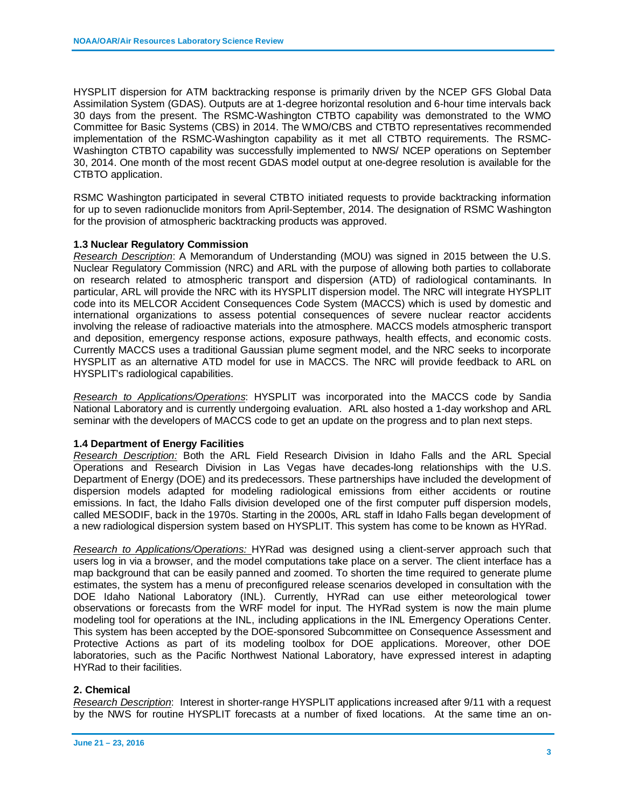HYSPLIT dispersion for ATM backtracking response is primarily driven by the NCEP GFS Global Data Assimilation System (GDAS). Outputs are at 1-degree horizontal resolution and 6-hour time intervals back 30 days from the present. The RSMC-Washington CTBTO capability was demonstrated to the WMO Committee for Basic Systems (CBS) in 2014. The WMO/CBS and CTBTO representatives recommended implementation of the RSMC-Washington capability as it met all CTBTO requirements. The RSMC-Washington CTBTO capability was successfully implemented to NWS/ NCEP operations on September 30, 2014. One month of the most recent GDAS model output at one-degree resolution is available for the CTBTO application.

RSMC Washington participated in several CTBTO initiated requests to provide backtracking information for up to seven radionuclide monitors from April-September, 2014. The designation of RSMC Washington for the provision of atmospheric backtracking products was approved.

### **1.3 Nuclear Regulatory Commission**

*Research Description*: A Memorandum of Understanding (MOU) was signed in 2015 between the U.S. Nuclear Regulatory Commission (NRC) and ARL with the purpose of allowing both parties to collaborate on research related to atmospheric transport and dispersion (ATD) of radiological contaminants. In particular, ARL will provide the NRC with its HYSPLIT dispersion model. The NRC will integrate HYSPLIT code into its MELCOR Accident Consequences Code System (MACCS) which is used by domestic and international organizations to assess potential consequences of severe nuclear reactor accidents involving the release of radioactive materials into the atmosphere. MACCS models atmospheric transport and deposition, emergency response actions, exposure pathways, health effects, and economic costs. Currently MACCS uses a traditional Gaussian plume segment model, and the NRC seeks to incorporate HYSPLIT as an alternative ATD model for use in MACCS. The NRC will provide feedback to ARL on HYSPLIT's radiological capabilities.

*Research to Applications/Operations*: HYSPLIT was incorporated into the MACCS code by Sandia National Laboratory and is currently undergoing evaluation. ARL also hosted a 1-day workshop and ARL seminar with the developers of MACCS code to get an update on the progress and to plan next steps.

### **1.4 Department of Energy Facilities**

*Research Description:* Both the ARL Field Research Division in Idaho Falls and the ARL Special Operations and Research Division in Las Vegas have decades-long relationships with the U.S. Department of Energy (DOE) and its predecessors. These partnerships have included the development of dispersion models adapted for modeling radiological emissions from either accidents or routine emissions. In fact, the Idaho Falls division developed one of the first computer puff dispersion models, called MESODIF, back in the 1970s. Starting in the 2000s, ARL staff in Idaho Falls began development of a new radiological dispersion system based on HYSPLIT. This system has come to be known as HYRad.

*Research to Applications/Operations:* HYRad was designed using a client-server approach such that users log in via a browser, and the model computations take place on a server. The client interface has a map background that can be easily panned and zoomed. To shorten the time required to generate plume estimates, the system has a menu of preconfigured release scenarios developed in consultation with the DOE Idaho National Laboratory (INL). Currently, HYRad can use either meteorological tower observations or forecasts from the WRF model for input. The HYRad system is now the main plume modeling tool for operations at the INL, including applications in the INL Emergency Operations Center. This system has been accepted by the DOE-sponsored Subcommittee on Consequence Assessment and Protective Actions as part of its modeling toolbox for DOE applications. Moreover, other DOE laboratories, such as the Pacific Northwest National Laboratory, have expressed interest in adapting HYRad to their facilities.

### **2. Chemical**

*Research Description*: Interest in shorter-range HYSPLIT applications increased after 9/11 with a request by the NWS for routine HYSPLIT forecasts at a number of fixed locations. At the same time an on-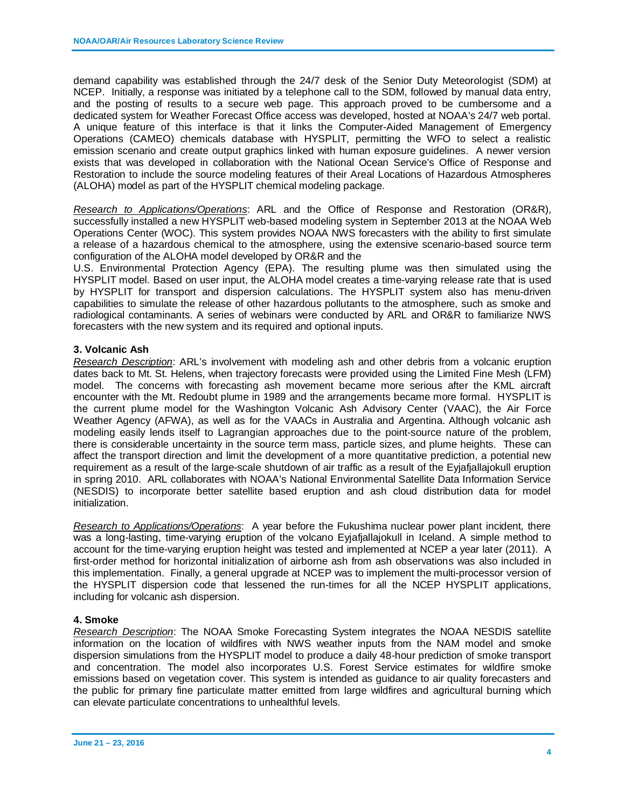demand capability was established through the 24/7 desk of the Senior Duty Meteorologist (SDM) at NCEP. Initially, a response was initiated by a telephone call to the SDM, followed by manual data entry, and the posting of results to a secure web page. This approach proved to be cumbersome and a dedicated system for Weather Forecast Office access was developed, hosted at NOAA's 24/7 web portal. A unique feature of this interface is that it links the Computer-Aided Management of Emergency Operations (CAMEO) chemicals database with HYSPLIT, permitting the WFO to select a realistic emission scenario and create output graphics linked with human exposure guidelines. A newer version exists that was developed in collaboration with the National Ocean Service's Office of Response and Restoration to include the source modeling features of their Areal Locations of Hazardous Atmospheres (ALOHA) model as part of the HYSPLIT chemical modeling package.

*Research to Applications/Operations*: ARL and the Office of Response and Restoration (OR&R), successfully installed a new HYSPLIT web-based modeling system in September 2013 at the NOAA Web Operations Center (WOC). This system provides NOAA NWS forecasters with the ability to first simulate a release of a hazardous chemical to the atmosphere, using the extensive scenario-based source term configuration of the ALOHA model developed by OR&R and the

U.S. Environmental Protection Agency (EPA). The resulting plume was then simulated using the HYSPLIT model. Based on user input, the ALOHA model creates a time-varying release rate that is used by HYSPLIT for transport and dispersion calculations. The HYSPLIT system also has menu-driven capabilities to simulate the release of other hazardous pollutants to the atmosphere, such as smoke and radiological contaminants. A series of webinars were conducted by ARL and OR&R to familiarize NWS forecasters with the new system and its required and optional inputs.

### **3. Volcanic Ash**

*Research Description*: ARL's involvement with modeling ash and other debris from a volcanic eruption dates back to Mt. St. Helens, when trajectory forecasts were provided using the Limited Fine Mesh (LFM) model. The concerns with forecasting ash movement became more serious after the KML aircraft encounter with the Mt. Redoubt plume in 1989 and the arrangements became more formal. HYSPLIT is the current plume model for the Washington Volcanic Ash Advisory Center (VAAC), the Air Force Weather Agency (AFWA), as well as for the VAACs in Australia and Argentina. Although volcanic ash modeling easily lends itself to Lagrangian approaches due to the point-source nature of the problem, there is considerable uncertainty in the source term mass, particle sizes, and plume heights. These can affect the transport direction and limit the development of a more quantitative prediction, a potential new requirement as a result of the large-scale shutdown of air traffic as a result of the Eyjafjallajokull eruption in spring 2010. ARL collaborates with NOAA's National Environmental Satellite Data Information Service (NESDIS) to incorporate better satellite based eruption and ash cloud distribution data for model initialization.

*Research to Applications/Operations*: A year before the Fukushima nuclear power plant incident, there was a long-lasting, time-varying eruption of the volcano Eyjafjallajokull in Iceland. A simple method to account for the time-varying eruption height was tested and implemented at NCEP a year later (2011). A first-order method for horizontal initialization of airborne ash from ash observations was also included in this implementation. Finally, a general upgrade at NCEP was to implement the multi-processor version of the HYSPLIT dispersion code that lessened the run-times for all the NCEP HYSPLIT applications, including for volcanic ash dispersion.

### **4. Smoke**

*Research Description*: The NOAA Smoke Forecasting System integrates the NOAA NESDIS satellite information on the location of wildfires with NWS weather inputs from the NAM model and smoke dispersion simulations from the HYSPLIT model to produce a daily 48-hour prediction of smoke transport and concentration. The model also incorporates U.S. Forest Service estimates for wildfire smoke emissions based on vegetation cover. This system is intended as guidance to air quality forecasters and the public for primary fine particulate matter emitted from large wildfires and agricultural burning which can elevate particulate concentrations to unhealthful levels.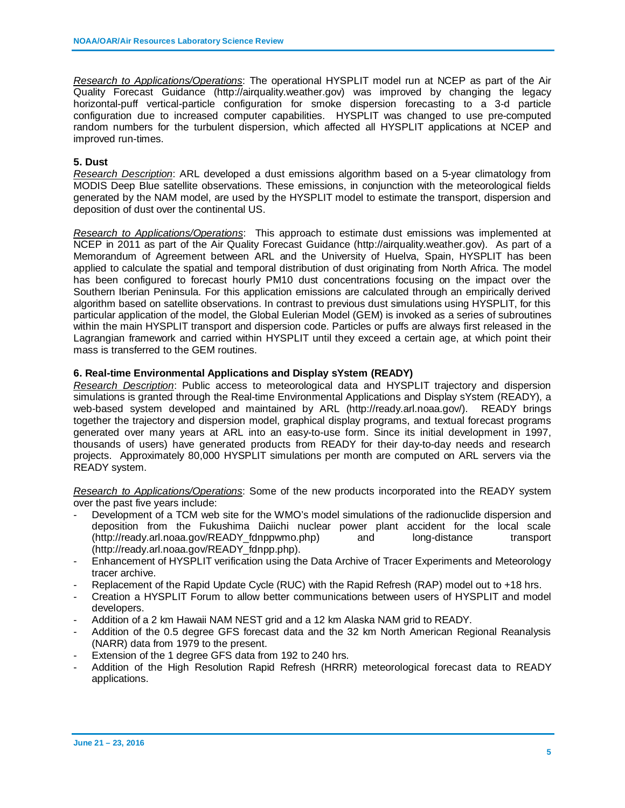*Research to Applications/Operations*: The operational HYSPLIT model run at NCEP as part of the Air Quality Forecast Guidance (http://airquality.weather.gov) was improved by changing the legacy horizontal-puff vertical-particle configuration for smoke dispersion forecasting to a 3-d particle configuration due to increased computer capabilities. HYSPLIT was changed to use pre-computed random numbers for the turbulent dispersion, which affected all HYSPLIT applications at NCEP and improved run-times.

### **5. Dust**

*Research Description*: ARL developed a dust emissions algorithm based on a 5-year climatology from MODIS Deep Blue satellite observations. These emissions, in conjunction with the meteorological fields generated by the NAM model, are used by the HYSPLIT model to estimate the transport, dispersion and deposition of dust over the continental US.

*Research to Applications/Operations*: This approach to estimate dust emissions was implemented at NCEP in 2011 as part of the Air Quality Forecast Guidance (http://airquality.weather.gov). As part of a Memorandum of Agreement between ARL and the University of Huelva, Spain, HYSPLIT has been applied to calculate the spatial and temporal distribution of dust originating from North Africa. The model has been configured to forecast hourly PM10 dust concentrations focusing on the impact over the Southern Iberian Peninsula. For this application emissions are calculated through an empirically derived algorithm based on satellite observations. In contrast to previous dust simulations using HYSPLIT, for this particular application of the model, the Global Eulerian Model (GEM) is invoked as a series of subroutines within the main HYSPLIT transport and dispersion code. Particles or puffs are always first released in the Lagrangian framework and carried within HYSPLIT until they exceed a certain age, at which point their mass is transferred to the GEM routines.

### **6. Real-time Environmental Applications and Display sYstem (READY)**

*Research Description*: Public access to meteorological data and HYSPLIT trajectory and dispersion simulations is granted through the Real-time Environmental Applications and Display sYstem (READY), a web-based system developed and maintained by ARL (http://ready.arl.noaa.gov/). READY brings together the trajectory and dispersion model, graphical display programs, and textual forecast programs generated over many years at ARL into an easy-to-use form. Since its initial development in 1997, thousands of users) have generated products from READY for their day-to-day needs and research projects. Approximately 80,000 HYSPLIT simulations per month are computed on ARL servers via the READY system.

*Research to Applications/Operations*: Some of the new products incorporated into the READY system over the past five years include:

- Development of a TCM web site for the WMO's model simulations of the radionuclide dispersion and deposition from the Fukushima Daiichi nuclear power plant accident for the local scale (http://ready.arl.noaa.gov/READY\_fdnppwmo.php) and long-distance transport (http://ready.arl.noaa.gov/READY\_fdnpp.php).
- Enhancement of HYSPLIT verification using the Data Archive of Tracer Experiments and Meteorology tracer archive.
- Replacement of the Rapid Update Cycle (RUC) with the Rapid Refresh (RAP) model out to +18 hrs.
- Creation a HYSPLIT Forum to allow better communications between users of HYSPLIT and model developers.
- Addition of a 2 km Hawaii NAM NEST grid and a 12 km Alaska NAM grid to READY.
- Addition of the 0.5 degree GFS forecast data and the 32 km North American Regional Reanalysis (NARR) data from 1979 to the present.
- Extension of the 1 degree GFS data from 192 to 240 hrs.
- Addition of the High Resolution Rapid Refresh (HRRR) meteorological forecast data to READY applications.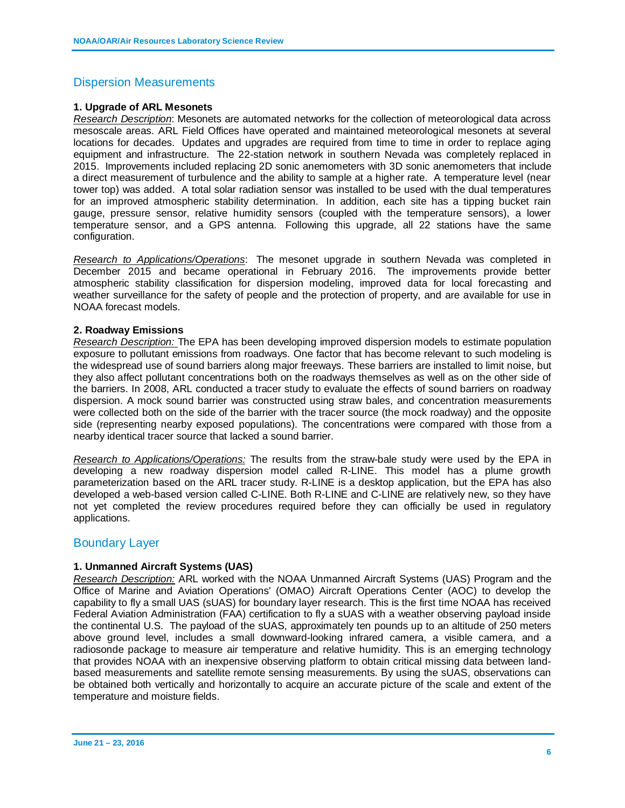### Dispersion Measurements

### **1. Upgrade of ARL Mesonets**

*Research Description*: Mesonets are automated networks for the collection of meteorological data across mesoscale areas. ARL Field Offices have operated and maintained meteorological mesonets at several locations for decades. Updates and upgrades are required from time to time in order to replace aging equipment and infrastructure. The 22-station network in southern Nevada was completely replaced in 2015. Improvements included replacing 2D sonic anemometers with 3D sonic anemometers that include a direct measurement of turbulence and the ability to sample at a higher rate. A temperature level (near tower top) was added. A total solar radiation sensor was installed to be used with the dual temperatures for an improved atmospheric stability determination. In addition, each site has a tipping bucket rain gauge, pressure sensor, relative humidity sensors (coupled with the temperature sensors), a lower temperature sensor, and a GPS antenna. Following this upgrade, all 22 stations have the same configuration.

*Research to Applications/Operations*: The mesonet upgrade in southern Nevada was completed in December 2015 and became operational in February 2016. The improvements provide better atmospheric stability classification for dispersion modeling, improved data for local forecasting and weather surveillance for the safety of people and the protection of property, and are available for use in NOAA forecast models.

### **2. Roadway Emissions**

*Research Description:* The EPA has been developing improved dispersion models to estimate population exposure to pollutant emissions from roadways. One factor that has become relevant to such modeling is the widespread use of sound barriers along major freeways. These barriers are installed to limit noise, but they also affect pollutant concentrations both on the roadways themselves as well as on the other side of the barriers. In 2008, ARL conducted a tracer study to evaluate the effects of sound barriers on roadway dispersion. A mock sound barrier was constructed using straw bales, and concentration measurements were collected both on the side of the barrier with the tracer source (the mock roadway) and the opposite side (representing nearby exposed populations). The concentrations were compared with those from a nearby identical tracer source that lacked a sound barrier.

*Research to Applications/Operations:* The results from the straw-bale study were used by the EPA in developing a new roadway dispersion model called R-LINE. This model has a plume growth parameterization based on the ARL tracer study. R-LINE is a desktop application, but the EPA has also developed a web-based version called C-LINE. Both R-LINE and C-LINE are relatively new, so they have not yet completed the review procedures required before they can officially be used in regulatory applications.

### Boundary Layer

### **1. Unmanned Aircraft Systems (UAS)**

*Research Description:* ARL worked with the NOAA Unmanned Aircraft Systems (UAS) Program and the Office of Marine and Aviation Operations' (OMAO) Aircraft Operations Center (AOC) to develop the capability to fly a small UAS (sUAS) for boundary layer research. This is the first time NOAA has received Federal Aviation Administration (FAA) certification to fly a sUAS with a weather observing payload inside the continental U.S. The payload of the sUAS, approximately ten pounds up to an altitude of 250 meters above ground level, includes a small downward-looking infrared camera, a visible camera, and a radiosonde package to measure air temperature and relative humidity. This is an emerging technology that provides NOAA with an inexpensive observing platform to obtain critical missing data between landbased measurements and satellite remote sensing measurements. By using the sUAS, observations can be obtained both vertically and horizontally to acquire an accurate picture of the scale and extent of the temperature and moisture fields.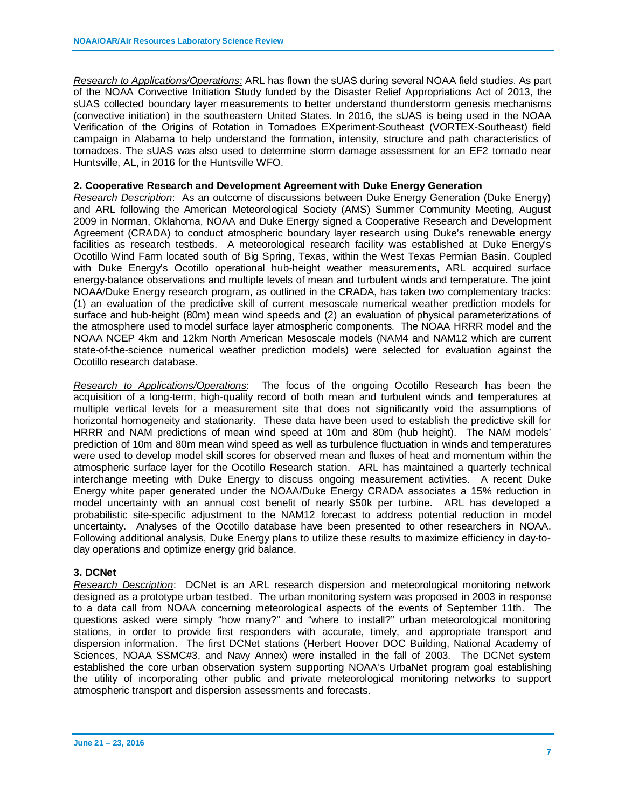*Research to Applications/Operations:* ARL has flown the sUAS during several NOAA field studies. As part of the NOAA Convective Initiation Study funded by the Disaster Relief Appropriations Act of 2013, the sUAS collected boundary layer measurements to better understand thunderstorm genesis mechanisms (convective initiation) in the southeastern United States. In 2016, the sUAS is being used in the NOAA Verification of the Origins of Rotation in Tornadoes EXperiment-Southeast (VORTEX-Southeast) field campaign in Alabama to help understand the formation, intensity, structure and path characteristics of tornadoes. The sUAS was also used to determine storm damage assessment for an EF2 tornado near Huntsville, AL, in 2016 for the Huntsville WFO.

#### **2. Cooperative Research and Development Agreement with Duke Energy Generation**

*Research Description*: As an outcome of discussions between Duke Energy Generation (Duke Energy) and ARL following the American Meteorological Society (AMS) Summer Community Meeting, August 2009 in Norman, Oklahoma, NOAA and Duke Energy signed a Cooperative Research and Development Agreement (CRADA) to conduct atmospheric boundary layer research using Duke's renewable energy facilities as research testbeds. A meteorological research facility was established at Duke Energy's Ocotillo Wind Farm located south of Big Spring, Texas, within the West Texas Permian Basin. Coupled with Duke Energy's Ocotillo operational hub-height weather measurements, ARL acquired surface energy-balance observations and multiple levels of mean and turbulent winds and temperature. The joint NOAA/Duke Energy research program, as outlined in the CRADA, has taken two complementary tracks: (1) an evaluation of the predictive skill of current mesoscale numerical weather prediction models for surface and hub-height (80m) mean wind speeds and (2) an evaluation of physical parameterizations of the atmosphere used to model surface layer atmospheric components. The NOAA HRRR model and the NOAA NCEP 4km and 12km North American Mesoscale models (NAM4 and NAM12 which are current state-of-the-science numerical weather prediction models) were selected for evaluation against the Ocotillo research database.

*Research to Applications/Operations*: The focus of the ongoing Ocotillo Research has been the acquisition of a long-term, high-quality record of both mean and turbulent winds and temperatures at multiple vertical levels for a measurement site that does not significantly void the assumptions of horizontal homogeneity and stationarity. These data have been used to establish the predictive skill for HRRR and NAM predictions of mean wind speed at 10m and 80m (hub height). The NAM models' prediction of 10m and 80m mean wind speed as well as turbulence fluctuation in winds and temperatures were used to develop model skill scores for observed mean and fluxes of heat and momentum within the atmospheric surface layer for the Ocotillo Research station. ARL has maintained a quarterly technical interchange meeting with Duke Energy to discuss ongoing measurement activities. A recent Duke Energy white paper generated under the NOAA/Duke Energy CRADA associates a 15% reduction in model uncertainty with an annual cost benefit of nearly \$50k per turbine. ARL has developed a probabilistic site-specific adjustment to the NAM12 forecast to address potential reduction in model uncertainty. Analyses of the Ocotillo database have been presented to other researchers in NOAA. Following additional analysis, Duke Energy plans to utilize these results to maximize efficiency in day-today operations and optimize energy grid balance.

### **3. DCNet**

*Research Description*: DCNet is an ARL research dispersion and meteorological monitoring network designed as a prototype urban testbed. The urban monitoring system was proposed in 2003 in response to a data call from NOAA concerning meteorological aspects of the events of September 11th. The questions asked were simply "how many?" and "where to install?" urban meteorological monitoring stations, in order to provide first responders with accurate, timely, and appropriate transport and dispersion information. The first DCNet stations (Herbert Hoover DOC Building, National Academy of Sciences, NOAA SSMC#3, and Navy Annex) were installed in the fall of 2003. The DCNet system established the core urban observation system supporting NOAA's UrbaNet program goal establishing the utility of incorporating other public and private meteorological monitoring networks to support atmospheric transport and dispersion assessments and forecasts.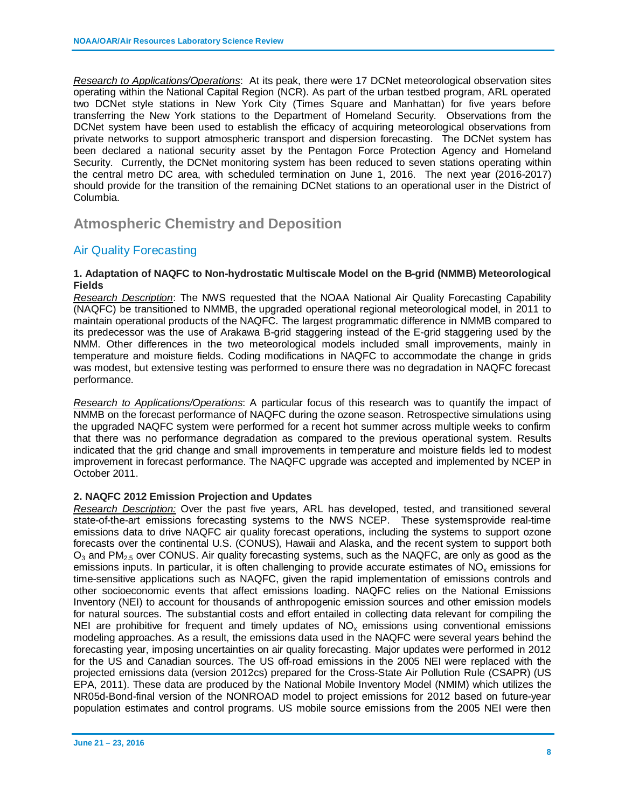*Research to Applications/Operations*: At its peak, there were 17 DCNet meteorological observation sites operating within the National Capital Region (NCR). As part of the urban testbed program, ARL operated two DCNet style stations in New York City (Times Square and Manhattan) for five years before transferring the New York stations to the Department of Homeland Security. Observations from the DCNet system have been used to establish the efficacy of acquiring meteorological observations from private networks to support atmospheric transport and dispersion forecasting. The DCNet system has been declared a national security asset by the Pentagon Force Protection Agency and Homeland Security. Currently, the DCNet monitoring system has been reduced to seven stations operating within the central metro DC area, with scheduled termination on June 1, 2016. The next year (2016-2017) should provide for the transition of the remaining DCNet stations to an operational user in the District of Columbia.

# **Atmospheric Chemistry and Deposition**

### Air Quality Forecasting

### **1. Adaptation of NAQFC to Non-hydrostatic Multiscale Model on the B-grid (NMMB) Meteorological Fields**

*Research Description*: The NWS requested that the NOAA National Air Quality Forecasting Capability (NAQFC) be transitioned to NMMB, the upgraded operational regional meteorological model, in 2011 to maintain operational products of the NAQFC. The largest programmatic difference in NMMB compared to its predecessor was the use of Arakawa B-grid staggering instead of the E-grid staggering used by the NMM. Other differences in the two meteorological models included small improvements, mainly in temperature and moisture fields. Coding modifications in NAQFC to accommodate the change in grids was modest, but extensive testing was performed to ensure there was no degradation in NAQFC forecast performance.

*Research to Applications/Operations*: A particular focus of this research was to quantify the impact of NMMB on the forecast performance of NAQFC during the ozone season. Retrospective simulations using the upgraded NAQFC system were performed for a recent hot summer across multiple weeks to confirm that there was no performance degradation as compared to the previous operational system. Results indicated that the grid change and small improvements in temperature and moisture fields led to modest improvement in forecast performance. The NAQFC upgrade was accepted and implemented by NCEP in October 2011.

### **2. NAQFC 2012 Emission Projection and Updates**

*Research Description:* Over the past five years, ARL has developed, tested, and transitioned several state-of-the-art emissions forecasting systems to the NWS NCEP. These systemsprovide real-time emissions data to drive NAQFC air quality forecast operations, including the systems to support ozone forecasts over the continental U.S. (CONUS), Hawaii and Alaska, and the recent system to support both  $O_3$  and PM<sub>2.5</sub> over CONUS. Air quality forecasting systems, such as the NAQFC, are only as good as the emissions inputs. In particular, it is often challenging to provide accurate estimates of  $NO<sub>x</sub>$  emissions for time-sensitive applications such as NAQFC, given the rapid implementation of emissions controls and other socioeconomic events that affect emissions loading. NAQFC relies on the National Emissions Inventory (NEI) to account for thousands of anthropogenic emission sources and other emission models for natural sources. The substantial costs and effort entailed in collecting data relevant for compiling the NEI are prohibitive for frequent and timely updates of  $NO<sub>x</sub>$  emissions using conventional emissions modeling approaches. As a result, the emissions data used in the NAQFC were several years behind the forecasting year, imposing uncertainties on air quality forecasting. Major updates were performed in 2012 for the US and Canadian sources. The US off-road emissions in the 2005 NEI were replaced with the projected emissions data (version 2012cs) prepared for the Cross-State Air Pollution Rule (CSAPR) (US EPA, 2011). These data are produced by the National Mobile Inventory Model (NMIM) which utilizes the NR05d-Bond-final version of the NONROAD model to project emissions for 2012 based on future-year population estimates and control programs. US mobile source emissions from the 2005 NEI were then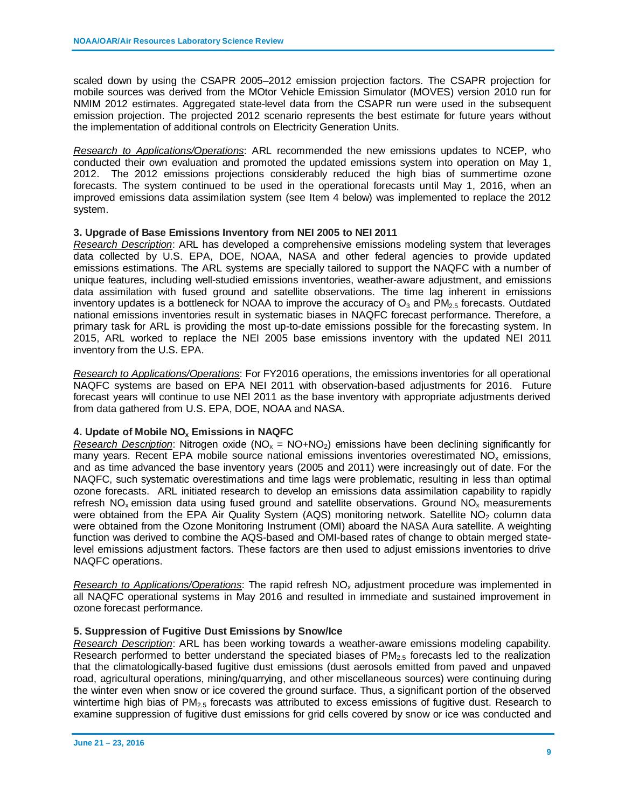scaled down by using the CSAPR 2005–2012 emission projection factors. The CSAPR projection for mobile sources was derived from the MOtor Vehicle Emission Simulator (MOVES) version 2010 run for NMIM 2012 estimates. Aggregated state-level data from the CSAPR run were used in the subsequent emission projection. The projected 2012 scenario represents the best estimate for future years without the implementation of additional controls on Electricity Generation Units.

*Research to Applications/Operations*: ARL recommended the new emissions updates to NCEP, who conducted their own evaluation and promoted the updated emissions system into operation on May 1, 2012. The 2012 emissions projections considerably reduced the high bias of summertime ozone forecasts. The system continued to be used in the operational forecasts until May 1, 2016, when an improved emissions data assimilation system (see Item 4 below) was implemented to replace the 2012 system.

#### **3. Upgrade of Base Emissions Inventory from NEI 2005 to NEI 2011**

*Research Description*: ARL has developed a comprehensive emissions modeling system that leverages data collected by U.S. EPA, DOE, NOAA, NASA and other federal agencies to provide updated emissions estimations. The ARL systems are specially tailored to support the NAQFC with a number of unique features, including well-studied emissions inventories, weather-aware adjustment, and emissions data assimilation with fused ground and satellite observations. The time lag inherent in emissions inventory updates is a bottleneck for NOAA to improve the accuracy of  $O_3$  and  $PM_{2.5}$  forecasts. Outdated national emissions inventories result in systematic biases in NAQFC forecast performance. Therefore, a primary task for ARL is providing the most up-to-date emissions possible for the forecasting system. In 2015, ARL worked to replace the NEI 2005 base emissions inventory with the updated NEI 2011 inventory from the U.S. EPA.

*Research to Applications/Operations*: For FY2016 operations, the emissions inventories for all operational NAQFC systems are based on EPA NEI 2011 with observation-based adjustments for 2016. Future forecast years will continue to use NEI 2011 as the base inventory with appropriate adjustments derived from data gathered from U.S. EPA, DOE, NOAA and NASA.

### **4. Update of Mobile NOx Emissions in NAQFC**

*Research Description*: Nitrogen oxide ( $NO_x = NO+NO_2$ ) emissions have been declining significantly for many years. Recent EPA mobile source national emissions inventories overestimated  $NO<sub>x</sub>$  emissions, and as time advanced the base inventory years (2005 and 2011) were increasingly out of date. For the NAQFC, such systematic overestimations and time lags were problematic, resulting in less than optimal ozone forecasts. ARL initiated research to develop an emissions data assimilation capability to rapidly refresh  $NO<sub>x</sub>$  emission data using fused ground and satellite observations. Ground  $NO<sub>x</sub>$  measurements were obtained from the EPA Air Quality System (AQS) monitoring network. Satellite NO<sub>2</sub> column data were obtained from the Ozone Monitoring Instrument (OMI) aboard the NASA Aura satellite. A weighting function was derived to combine the AQS-based and OMI-based rates of change to obtain merged statelevel emissions adjustment factors. These factors are then used to adjust emissions inventories to drive NAQFC operations.

*Research to Applications/Operations*: The rapid refresh NO<sub>x</sub> adjustment procedure was implemented in all NAQFC operational systems in May 2016 and resulted in immediate and sustained improvement in ozone forecast performance.

### **5. Suppression of Fugitive Dust Emissions by Snow/Ice**

*Research Description*: ARL has been working towards a weather-aware emissions modeling capability. Research performed to better understand the speciated biases of  $PM_{2.5}$  forecasts led to the realization that the climatologically-based fugitive dust emissions (dust aerosols emitted from paved and unpaved road, agricultural operations, mining/quarrying, and other miscellaneous sources) were continuing during the winter even when snow or ice covered the ground surface. Thus, a significant portion of the observed wintertime high bias of  $PM<sub>2.5</sub>$  forecasts was attributed to excess emissions of fugitive dust. Research to examine suppression of fugitive dust emissions for grid cells covered by snow or ice was conducted and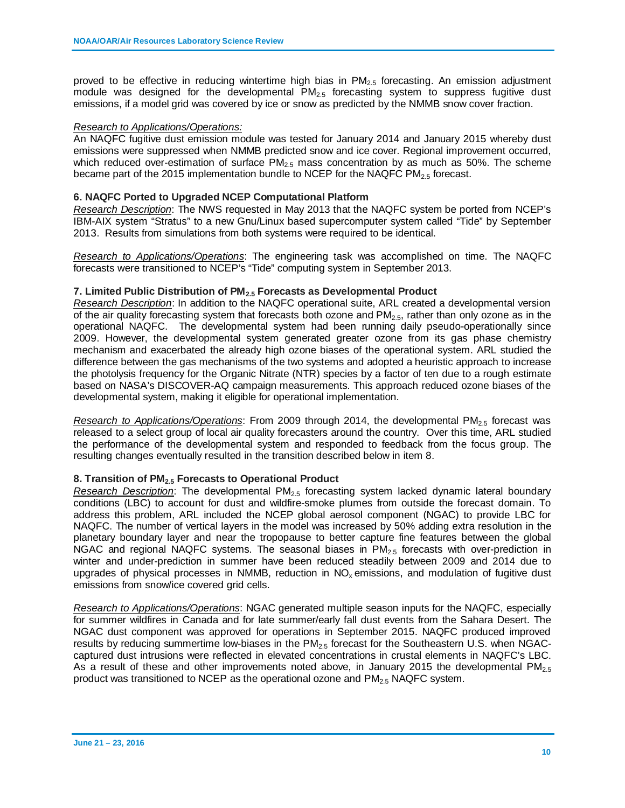proved to be effective in reducing wintertime high bias in  $PM<sub>2.5</sub>$  forecasting. An emission adjustment module was designed for the developmental  $PM<sub>2.5</sub>$  forecasting system to suppress fugitive dust emissions, if a model grid was covered by ice or snow as predicted by the NMMB snow cover fraction.

### *Research to Applications/Operations:*

An NAQFC fugitive dust emission module was tested for January 2014 and January 2015 whereby dust emissions were suppressed when NMMB predicted snow and ice cover. Regional improvement occurred, which reduced over-estimation of surface  $PM_{2.5}$  mass concentration by as much as 50%. The scheme became part of the 2015 implementation bundle to NCEP for the NAQFC PM $_{2.5}$  forecast.

### **6. NAQFC Ported to Upgraded NCEP Computational Platform**

*Research Description*: The NWS requested in May 2013 that the NAQFC system be ported from NCEP's IBM-AIX system "Stratus" to a new Gnu/Linux based supercomputer system called "Tide" by September 2013. Results from simulations from both systems were required to be identical.

*Research to Applications/Operations*: The engineering task was accomplished on time. The NAQFC forecasts were transitioned to NCEP's "Tide" computing system in September 2013.

### **7. Limited Public Distribution of PM2.5 Forecasts as Developmental Product**

*Research Description*: In addition to the NAQFC operational suite, ARL created a developmental version of the air quality forecasting system that forecasts both ozone and  $PM<sub>2.5</sub>$ , rather than only ozone as in the operational NAQFC. The developmental system had been running daily pseudo-operationally since 2009. However, the developmental system generated greater ozone from its gas phase chemistry mechanism and exacerbated the already high ozone biases of the operational system. ARL studied the difference between the gas mechanisms of the two systems and adopted a heuristic approach to increase the photolysis frequency for the Organic Nitrate (NTR) species by a factor of ten due to a rough estimate based on NASA's DISCOVER-AQ campaign measurements. This approach reduced ozone biases of the developmental system, making it eligible for operational implementation.

*Research to Applications/Operations*: From 2009 through 2014, the developmental PM<sub>2.5</sub> forecast was released to a select group of local air quality forecasters around the country. Over this time, ARL studied the performance of the developmental system and responded to feedback from the focus group. The resulting changes eventually resulted in the transition described below in item 8.

### **8. Transition of PM2.5 Forecasts to Operational Product**

*Research Description*: The developmental PM2.5 forecasting system lacked dynamic lateral boundary conditions (LBC) to account for dust and wildfire-smoke plumes from outside the forecast domain. To address this problem, ARL included the NCEP global aerosol component (NGAC) to provide LBC for NAQFC. The number of vertical layers in the model was increased by 50% adding extra resolution in the planetary boundary layer and near the tropopause to better capture fine features between the global NGAC and regional NAQFC systems. The seasonal biases in  $PM<sub>2.5</sub>$  forecasts with over-prediction in winter and under-prediction in summer have been reduced steadily between 2009 and 2014 due to upgrades of physical processes in NMMB, reduction in  $NO<sub>x</sub>$  emissions, and modulation of fugitive dust emissions from snow/ice covered grid cells.

*Research to Applications/Operations*: NGAC generated multiple season inputs for the NAQFC, especially for summer wildfires in Canada and for late summer/early fall dust events from the Sahara Desert. The NGAC dust component was approved for operations in September 2015. NAQFC produced improved results by reducing summertime low-biases in the PM<sub>2.5</sub> forecast for the Southeastern U.S. when NGACcaptured dust intrusions were reflected in elevated concentrations in crustal elements in NAQFC's LBC. As a result of these and other improvements noted above, in January 2015 the developmental  $PM_{2.5}$ product was transitioned to NCEP as the operational ozone and  $PM<sub>2.5</sub> NAQFC system$ .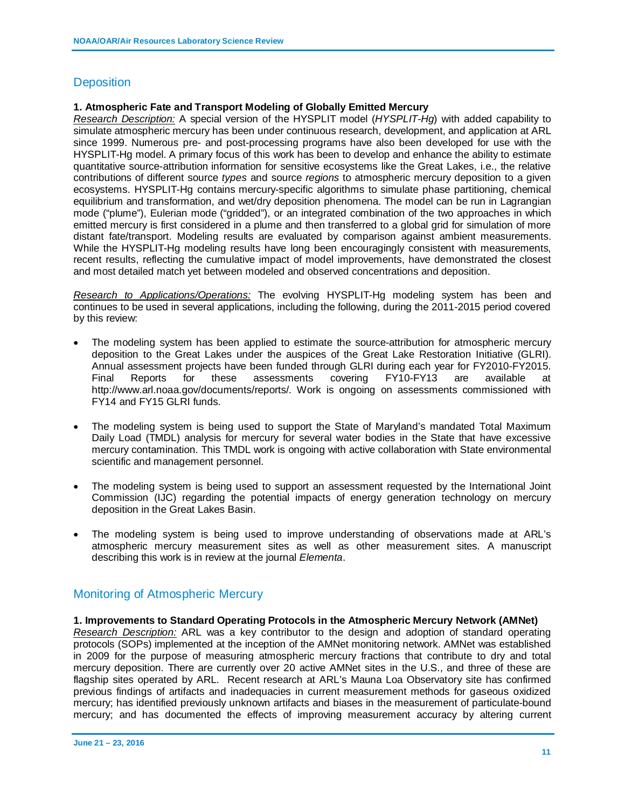### **Deposition**

### **1. Atmospheric Fate and Transport Modeling of Globally Emitted Mercury**

*Research Description:* A special version of the HYSPLIT model (*HYSPLIT-Hg*) with added capability to simulate atmospheric mercury has been under continuous research, development, and application at ARL since 1999. Numerous pre- and post-processing programs have also been developed for use with the HYSPLIT-Hg model. A primary focus of this work has been to develop and enhance the ability to estimate quantitative source-attribution information for sensitive ecosystems like the Great Lakes, i.e., the relative contributions of different source *types* and source *regions* to atmospheric mercury deposition to a given ecosystems. HYSPLIT-Hg contains mercury-specific algorithms to simulate phase partitioning, chemical equilibrium and transformation, and wet/dry deposition phenomena. The model can be run in Lagrangian mode ("plume"), Eulerian mode ("gridded"), or an integrated combination of the two approaches in which emitted mercury is first considered in a plume and then transferred to a global grid for simulation of more distant fate/transport. Modeling results are evaluated by comparison against ambient measurements. While the HYSPLIT-Hg modeling results have long been encouragingly consistent with measurements, recent results, reflecting the cumulative impact of model improvements, have demonstrated the closest and most detailed match yet between modeled and observed concentrations and deposition.

*Research to Applications/Operations:* The evolving HYSPLIT-Hg modeling system has been and continues to be used in several applications, including the following, during the 2011-2015 period covered by this review:

- The modeling system has been applied to estimate the source-attribution for atmospheric mercury deposition to the Great Lakes under the auspices of the Great Lake Restoration Initiative (GLRI). Annual assessment projects have been funded through GLRI during each year for FY2010-FY2015. Final Reports for these assessments covering FY10-FY13 are available at http://www.arl.noaa.gov/documents/reports/. Work is ongoing on assessments commissioned with FY14 and FY15 GLRI funds.
- The modeling system is being used to support the State of Maryland's mandated Total Maximum Daily Load (TMDL) analysis for mercury for several water bodies in the State that have excessive mercury contamination. This TMDL work is ongoing with active collaboration with State environmental scientific and management personnel.
- The modeling system is being used to support an assessment requested by the International Joint Commission (IJC) regarding the potential impacts of energy generation technology on mercury deposition in the Great Lakes Basin.
- The modeling system is being used to improve understanding of observations made at ARL's atmospheric mercury measurement sites as well as other measurement sites. A manuscript describing this work is in review at the journal *Elementa*.

### Monitoring of Atmospheric Mercury

#### **1. Improvements to Standard Operating Protocols in the Atmospheric Mercury Network (AMNet)**

*Research Description:* ARL was a key contributor to the design and adoption of standard operating protocols (SOPs) implemented at the inception of the AMNet monitoring network. AMNet was established in 2009 for the purpose of measuring atmospheric mercury fractions that contribute to dry and total mercury deposition. There are currently over 20 active AMNet sites in the U.S., and three of these are flagship sites operated by ARL. Recent research at ARL's Mauna Loa Observatory site has confirmed previous findings of artifacts and inadequacies in current measurement methods for gaseous oxidized mercury; has identified previously unknown artifacts and biases in the measurement of particulate-bound mercury; and has documented the effects of improving measurement accuracy by altering current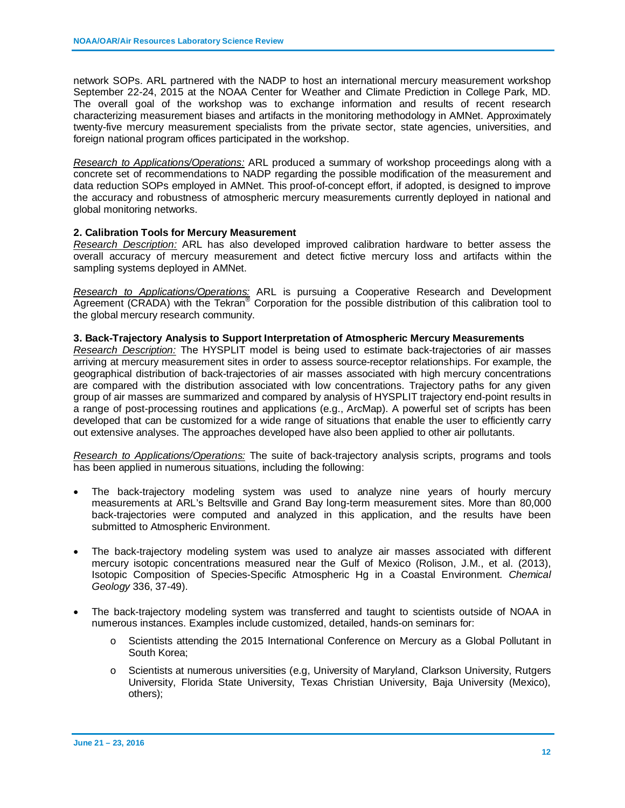network SOPs. ARL partnered with the NADP to host an international mercury measurement workshop September 22-24, 2015 at the NOAA Center for Weather and Climate Prediction in College Park, MD. The overall goal of the workshop was to exchange information and results of recent research characterizing measurement biases and artifacts in the monitoring methodology in AMNet. Approximately twenty-five mercury measurement specialists from the private sector, state agencies, universities, and foreign national program offices participated in the workshop.

*Research to Applications/Operations:* ARL produced a summary of workshop proceedings along with a concrete set of recommendations to NADP regarding the possible modification of the measurement and data reduction SOPs employed in AMNet. This proof-of-concept effort, if adopted, is designed to improve the accuracy and robustness of atmospheric mercury measurements currently deployed in national and global monitoring networks.

### **2. Calibration Tools for Mercury Measurement**

*Research Description:* ARL has also developed improved calibration hardware to better assess the overall accuracy of mercury measurement and detect fictive mercury loss and artifacts within the sampling systems deployed in AMNet.

*Research to Applications/Operations:* ARL is pursuing a Cooperative Research and Development Agreement (CRADA) with the Tekran® Corporation for the possible distribution of this calibration tool to the global mercury research community.

#### **3. Back-Trajectory Analysis to Support Interpretation of Atmospheric Mercury Measurements**

*Research Description:* The HYSPLIT model is being used to estimate back-trajectories of air masses arriving at mercury measurement sites in order to assess source-receptor relationships. For example, the geographical distribution of back-trajectories of air masses associated with high mercury concentrations are compared with the distribution associated with low concentrations. Trajectory paths for any given group of air masses are summarized and compared by analysis of HYSPLIT trajectory end-point results in a range of post-processing routines and applications (e.g., ArcMap). A powerful set of scripts has been developed that can be customized for a wide range of situations that enable the user to efficiently carry out extensive analyses. The approaches developed have also been applied to other air pollutants.

*Research to Applications/Operations:* The suite of back-trajectory analysis scripts, programs and tools has been applied in numerous situations, including the following:

- The back-trajectory modeling system was used to analyze nine years of hourly mercury measurements at ARL's Beltsville and Grand Bay long-term measurement sites. More than 80,000 back-trajectories were computed and analyzed in this application, and the results have been submitted to Atmospheric Environment.
- The back-trajectory modeling system was used to analyze air masses associated with different mercury isotopic concentrations measured near the Gulf of Mexico (Rolison, J.M., et al. (2013), Isotopic Composition of Species-Specific Atmospheric Hg in a Coastal Environment. *Chemical Geology* 336, 37-49).
- The back-trajectory modeling system was transferred and taught to scientists outside of NOAA in numerous instances. Examples include customized, detailed, hands-on seminars for:
	- o Scientists attending the 2015 International Conference on Mercury as a Global Pollutant in South Korea;
	- o Scientists at numerous universities (e.g, University of Maryland, Clarkson University, Rutgers University, Florida State University, Texas Christian University, Baja University (Mexico), others);